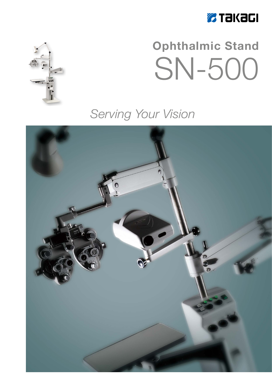

# **Ophthalmic Stand** SN-500

## Serving Your Vision